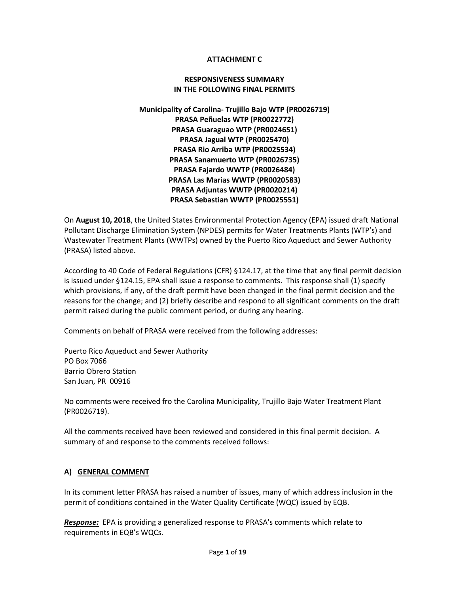## **ATTACHMENT C**

#### **RESPONSIVENESS SUMMARY IN THE FOLLOWING FINAL PERMITS**

**Municipality of Carolina- Trujillo Bajo WTP (PR0026719) PRASA Peñuelas WTP (PR0022772) PRASA Guaraguao WTP (PR0024651) PRASA Jagual WTP (PR0025470) PRASA Rio Arriba WTP (PR0025534) PRASA Sanamuerto WTP (PR0026735) PRASA Fajardo WWTP (PR0026484) PRASA Las Marias WWTP (PR0020583) PRASA Adjuntas WWTP (PR0020214) PRASA Sebastian WWTP (PR0025551)**

On **August 10, 2018**, the United States Environmental Protection Agency (EPA) issued draft National Pollutant Discharge Elimination System (NPDES) permits for Water Treatments Plants (WTP's) and Wastewater Treatment Plants (WWTPs) owned by the Puerto Rico Aqueduct and Sewer Authority (PRASA) listed above.

According to 40 Code of Federal Regulations (CFR) §124.17, at the time that any final permit decision is issued under §124.15, EPA shall issue a response to comments. This response shall (1) specify which provisions, if any, of the draft permit have been changed in the final permit decision and the reasons for the change; and (2) briefly describe and respond to all significant comments on the draft permit raised during the public comment period, or during any hearing.

Comments on behalf of PRASA were received from the following addresses:

Puerto Rico Aqueduct and Sewer Authority PO Box 7066 Barrio Obrero Station San Juan, PR 00916

No comments were received fro the Carolina Municipality, Trujillo Bajo Water Treatment Plant (PR0026719).

All the comments received have been reviewed and considered in this final permit decision. A summary of and response to the comments received follows:

#### **A) GENERAL COMMENT**

In its comment letter PRASA has raised a number of issues, many of which address inclusion in the permit of conditions contained in the Water Quality Certificate (WQC) issued by EQB.

*Response:* EPA is providing a generalized response to PRASA's comments which relate to requirements in EQB's WQCs.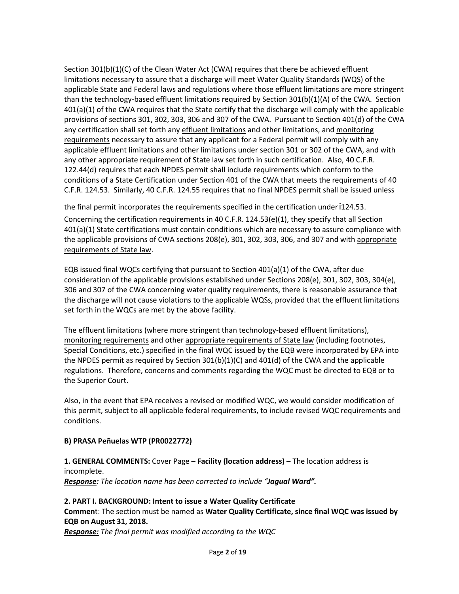Section 301(b)(1)(C) of the Clean Water Act (CWA) requires that there be achieved effluent limitations necessary to assure that a discharge will meet Water Quality Standards (WQS) of the applicable State and Federal laws and regulations where those effluent limitations are more stringent than the technology-based effluent limitations required by Section 301(b)(1)(A) of the CWA. Section 401(a)(1) of the CWA requires that the State certify that the discharge will comply with the applicable provisions of sections 301, 302, 303, 306 and 307 of the CWA. Pursuant to Section 401(d) of the CWA any certification shall set forth any effluent limitations and other limitations, and monitoring requirements necessary to assure that any applicant for a Federal permit will comply with any applicable effluent limitations and other limitations under section 301 or 302 of the CWA, and with any other appropriate requirement of State law set forth in such certification. Also, 40 C.F.R. 122.44(d) requires that each NPDES permit shall include requirements which conform to the conditions of a State Certification under Section 401 of the CWA that meets the requirements of 40 C.F.R. 124.53. Similarly, 40 C.F.R. 124.55 requires that no final NPDES permit shall be issued unless

the final permit incorporates the requirements specified in the certification under '124.53.

Concerning the certification requirements in 40 C.F.R. 124.53(e)(1), they specify that all Section 401(a)(1) State certifications must contain conditions which are necessary to assure compliance with the applicable provisions of CWA sections 208(e), 301, 302, 303, 306, and 307 and with appropriate requirements of State law.

EQB issued final WQCs certifying that pursuant to Section 401(a)(1) of the CWA, after due consideration of the applicable provisions established under Sections 208(e), 301, 302, 303, 304(e), 306 and 307 of the CWA concerning water quality requirements, there is reasonable assurance that the discharge will not cause violations to the applicable WQSs, provided that the effluent limitations set forth in the WQCs are met by the above facility.

The effluent limitations (where more stringent than technology-based effluent limitations), monitoring requirements and other appropriate requirements of State law (including footnotes, Special Conditions, etc.) specified in the final WQC issued by the EQB were incorporated by EPA into the NPDES permit as required by Section  $301(b)(1)(C)$  and  $401(d)$  of the CWA and the applicable regulations. Therefore, concerns and comments regarding the WQC must be directed to EQB or to the Superior Court.

Also, in the event that EPA receives a revised or modified WQC, we would consider modification of this permit, subject to all applicable federal requirements, to include revised WQC requirements and conditions.

# **B) PRASA Peñuelas WTP (PR0022772)**

## **1. GENERAL COMMENTS:** Cover Page – **Facility (location address)** – The location address is incomplete. *Response: The location name has been corrected to include "Jagual Ward".*

**2. PART I. BACKGROUND: Intent to issue a Water Quality Certificate Commen**t: The section must be named as **Water Quality Certificate, since final WQC was issued by EQB on August 31, 2018.**

*Response: The final permit was modified according to the WQC*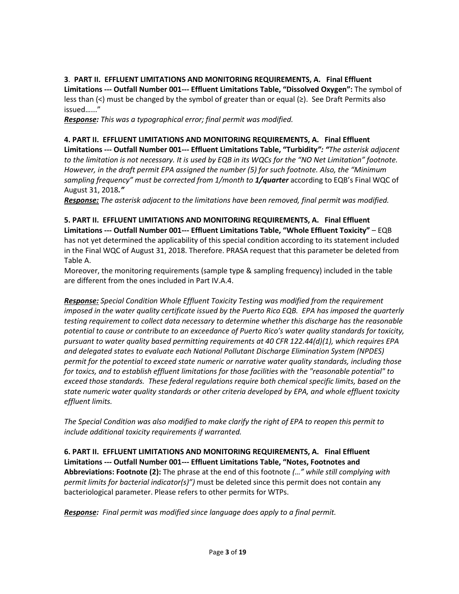**3**. **PART II. EFFLUENT LIMITATIONS AND MONITORING REQUIREMENTS, A. Final Effluent Limitations --- Outfall Number 001--- Effluent Limitations Table, "Dissolved Oxygen":** The symbol of less than  $\leq$ ) must be changed by the symbol of greater than or equal  $\geq$ ). See Draft Permits also issued…..."

*Response: This was a typographical error; final permit was modified.*

**4. PART II. EFFLUENT LIMITATIONS AND MONITORING REQUIREMENTS, A. Final Effluent Limitations --- Outfall Number 001--- Effluent Limitations Table, "Turbidity***": "The asterisk adjacent to the limitation is not necessary. It is used by EQB in its WQCs for the "NO Net Limitation" footnote. However, in the draft permit EPA assigned the number (5) for such footnote. Also, the "Minimum sampling frequency" must be corrected from 1/month to 1/quarter* according to EQB's Final WQC of August 31, 2018*."*

*Response: The asterisk adjacent to the limitations have been removed, final permit was modified.*

**5. PART II. EFFLUENT LIMITATIONS AND MONITORING REQUIREMENTS, A. Final Effluent Limitations --- Outfall Number 001--- Effluent Limitations Table, "Whole Effluent Toxicity"** – EQB has not yet determined the applicability of this special condition according to its statement included in the Final WQC of August 31, 2018. Therefore. PRASA request that this parameter be deleted from Table A.

Moreover, the monitoring requirements (sample type & sampling frequency) included in the table are different from the ones included in Part IV.A.4.

*Response: Special Condition Whole Effluent Toxicity Testing was modified from the requirement imposed in the water quality certificate issued by the Puerto Rico EQB. EPA has imposed the quarterly testing requirement to collect data necessary to determine whether this discharge has the reasonable potential to cause or contribute to an exceedance of Puerto Rico's water quality standards for toxicity, pursuant to water quality based permitting requirements at 40 CFR 122.44(d)(1), which requires EPA and delegated states to evaluate each National Pollutant Discharge Elimination System (NPDES) permit for the potential to exceed state numeric or narrative water quality standards, including those for toxics, and to establish effluent limitations for those facilities with the "reasonable potential" to exceed those standards. These federal regulations require both chemical specific limits, based on the state numeric water quality standards or other criteria developed by EPA, and whole effluent toxicity effluent limits.*

*The Special Condition was also modified to make clarify the right of EPA to reopen this permit to include additional toxicity requirements if warranted.*

**6. PART II. EFFLUENT LIMITATIONS AND MONITORING REQUIREMENTS, A. Final Effluent Limitations --- Outfall Number 001--- Effluent Limitations Table, "Notes, Footnotes and Abbreviations: Footnote (2):** The phrase at the end of this footnote *(…" while still complying with permit limits for bacterial indicator(s)")* must be deleted since this permit does not contain any bacteriological parameter. Please refers to other permits for WTPs.

*Response: Final permit was modified since language does apply to a final permit.*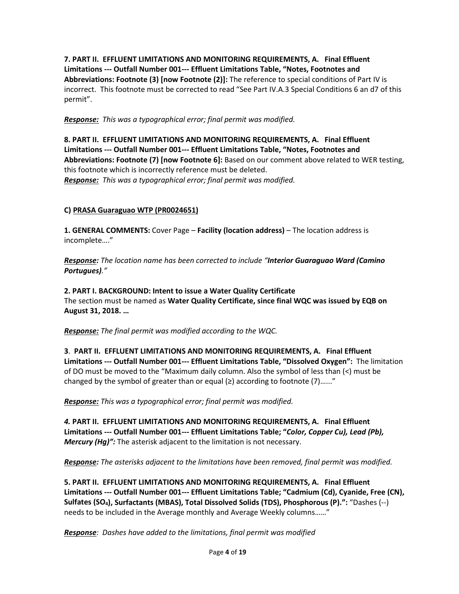**7. PART II. EFFLUENT LIMITATIONS AND MONITORING REQUIREMENTS, A. Final Effluent Limitations --- Outfall Number 001--- Effluent Limitations Table, "Notes, Footnotes and Abbreviations: Footnote (3) [now Footnote (2)]:** The reference to special conditions of Part IV is incorrect. This footnote must be corrected to read "See Part IV.A.3 Special Conditions 6 an d7 of this permit".

*Response: This was a typographical error; final permit was modified.*

**8. PART II. EFFLUENT LIMITATIONS AND MONITORING REQUIREMENTS, A. Final Effluent Limitations --- Outfall Number 001--- Effluent Limitations Table, "Notes, Footnotes and Abbreviations: Footnote (7) [now Footnote 6]:** Based on our comment above related to WER testing, this footnote which is incorrectly reference must be deleted. *Response: This was a typographical error; final permit was modified.*

## **C) PRASA Guaraguao WTP (PR0024651)**

**1. GENERAL COMMENTS:** Cover Page – **Facility (location address)** – The location address is incomplete…."

*Response: The location name has been corrected to include "Interior Guaraguao Ward (Camino Portugues)."*

**2. PART I. BACKGROUND: Intent to issue a Water Quality Certificate** The section must be named as **Water Quality Certificate, since final WQC was issued by EQB on August 31, 2018. …**

*Response: The final permit was modified according to the WQC.*

**3**. **PART II. EFFLUENT LIMITATIONS AND MONITORING REQUIREMENTS, A. Final Effluent Limitations --- Outfall Number 001--- Effluent Limitations Table, "Dissolved Oxygen":** The limitation of DO must be moved to the "Maximum daily column. Also the symbol of less than (<) must be changed by the symbol of greater than or equal  $(\geq)$  according to footnote (7)......"

*Response: This was a typographical error; final permit was modified.*

*4.* **PART II. EFFLUENT LIMITATIONS AND MONITORING REQUIREMENTS, A. Final Effluent Limitations --- Outfall Number 001--- Effluent Limitations Table; "***Color, Copper Cu), Lead (Pb), Mercury (Hg)":* The asterisk adjacent to the limitation is not necessary.

*Response: The asterisks adjacent to the limitations have been removed, final permit was modified.*

**5. PART II. EFFLUENT LIMITATIONS AND MONITORING REQUIREMENTS, A. Final Effluent Limitations --- Outfall Number 001--- Effluent Limitations Table; "Cadmium (Cd), Cyanide, Free (CN), Sulfates (SO4), Surfactants (MBAS), Total Dissolved Solids (TDS), Phosphorous (P).":** "Dashes (--) needs to be included in the Average monthly and Average Weekly columns……"

*Response: Dashes have added to the limitations, final permit was modified*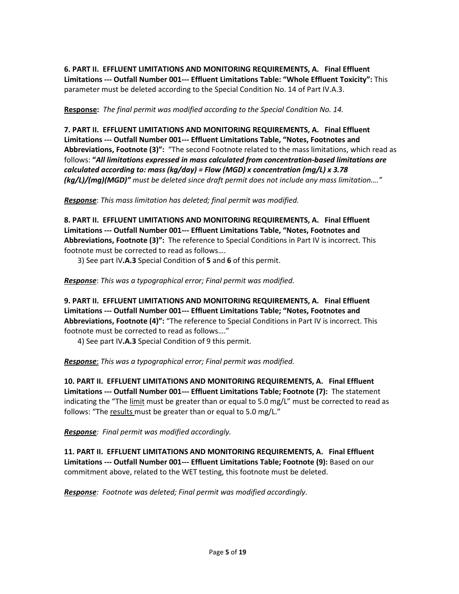**6. PART II. EFFLUENT LIMITATIONS AND MONITORING REQUIREMENTS, A. Final Effluent Limitations --- Outfall Number 001--- Effluent Limitations Table: "Whole Effluent Toxicity":** This parameter must be deleted according to the Special Condition No. 14 of Part IV.A.3.

**Response:** *The final permit was modified according to the Special Condition No. 14.*

**7. PART II. EFFLUENT LIMITATIONS AND MONITORING REQUIREMENTS, A. Final Effluent Limitations --- Outfall Number 001--- Effluent Limitations Table, "Notes, Footnotes and Abbreviations, Footnote (3)":** "The second Footnote related to the mass limitations, which read as follows: **"***All limitations expressed in mass calculated from concentration-based limitations are calculated according to: mass (kg/day) = Flow (MGD) x concentration (mg/L) x 3.78 (kg/L)/(mg)(MGD)" must be deleted since draft permit does not include any mass limitation…."*

*Response*: *This mass limitation has deleted; final permit was modified.*

**8. PART II. EFFLUENT LIMITATIONS AND MONITORING REQUIREMENTS, A. Final Effluent Limitations --- Outfall Number 001--- Effluent Limitations Table, "Notes, Footnotes and Abbreviations, Footnote (3)":** The reference to Special Conditions in Part IV is incorrect. This footnote must be corrected to read as follows….

3) See part IV**.A.3** Special Condition of **5** and **6** of this permit.

*Response*: *This was a typographical error; Final permit was modified.*

**9. PART II. EFFLUENT LIMITATIONS AND MONITORING REQUIREMENTS, A. Final Effluent Limitations --- Outfall Number 001--- Effluent Limitations Table; "Notes, Footnotes and Abbreviations, Footnote (4)":** "The reference to Special Conditions in Part IV is incorrect. This footnote must be corrected to read as follows…."

4) See part IV**.A.3** Special Condition of 9 this permit.

*Response*: *This was a typographical error; Final permit was modified.*

**10. PART II. EFFLUENT LIMITATIONS AND MONITORING REQUIREMENTS, A. Final Effluent Limitations --- Outfall Number 001--- Effluent Limitations Table; Footnote (7):** The statement indicating the "The limit must be greater than or equal to 5.0 mg/L" must be corrected to read as follows: "The results must be greater than or equal to 5.0 mg/L."

*Response: Final permit was modified accordingly.* 

**11. PART II. EFFLUENT LIMITATIONS AND MONITORING REQUIREMENTS, A. Final Effluent Limitations --- Outfall Number 001--- Effluent Limitations Table; Footnote (9):** Based on our commitment above, related to the WET testing, this footnote must be deleted.

*Response: Footnote was deleted; Final permit was modified accordingly.*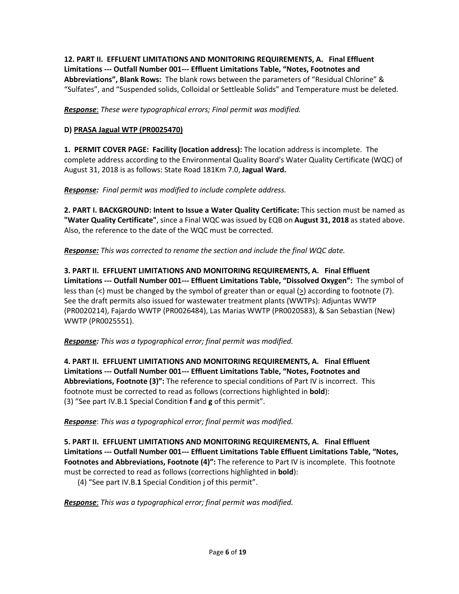**12. PART II. EFFLUENT LIMITATIONS AND MONITORING REQUIREMENTS, A. Final Effluent Limitations --- Outfall Number 001--- Effluent Limitations Table, "Notes, Footnotes and Abbreviations", Blank Rows:** The blank rows between the parameters of "Residual Chlorine" & "Sulfates", and "Suspended solids, Colloidal or Settleable Solids" and Temperature must be deleted.

*Response*: *These were typographical errors; Final permit was modified.*

## **D) PRASA Jagual WTP (PR0025470)**

**1. PERMIT COVER PAGE: Facility (location address):** The location address is incomplete. The complete address according to the Environmental Quality Board's Water Quality Certificate (WQC) of August 31, 2018 is as follows: State Road 181Km 7.0, **Jagual Ward.**

### *Response: Final permit was modified to include complete address.*

**2. PART I. BACKGROUND: Intent to Issue a Water Quality Certificate:** This section must be named as **"Water Quality Certificate"**, since a Final WQC was issued by EQB on **August 31, 2018** as stated above. Also, the reference to the date of the WQC must be corrected.

*Response: This was corrected to rename the section and include the final WQC date.* 

**3. PART II. EFFLUENT LIMITATIONS AND MONITORING REQUIREMENTS, A. Final Effluent Limitations --- Outfall Number 001--- Effluent Limitations Table, "Dissolved Oxygen":** The symbol of less than (<) must be changed by the symbol of greater than or equal (>) according to footnote (7). See the draft permits also issued for wastewater treatment plants (WWTPs): Adjuntas WWTP (PR0020214), Fajardo WWTP (PR0026484), Las Marias WWTP (PR0020583), & San Sebastian (New) WWTP (PR0025551).

*Response: This was a typographical error; final permit was modified.*

**4. PART II. EFFLUENT LIMITATIONS AND MONITORING REQUIREMENTS, A. Final Effluent Limitations --- Outfall Number 001--- Effluent Limitations Table, "Notes, Footnotes and Abbreviations, Footnote (3)":** The reference to special conditions of Part IV is incorrect. This footnote must be corrected to read as follows (corrections highlighted in **bold**): (3) "See part IV.B.1 Special Condition **f** and **g** of this permit".

*Response*: *This was a typographical error; final permit was modified.*

**5. PART II. EFFLUENT LIMITATIONS AND MONITORING REQUIREMENTS, A. Final Effluent Limitations --- Outfall Number 001--- Effluent Limitations Table Effluent Limitations Table, "Notes, Footnotes and Abbreviations, Footnote (4)":** The reference to Part IV is incomplete. This footnote must be corrected to read as follows (corrections highlighted in **bold**):

(4) "See part IV.B.**1** Special Condition j of this permit".

*Response*: *This was a typographical error; final permit was modified.*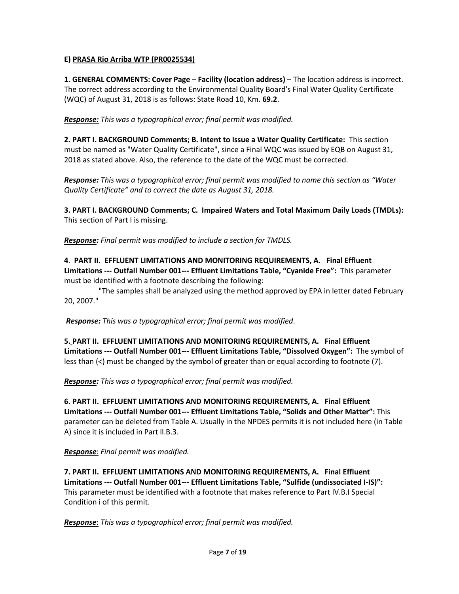## **E) PRASA Rio Arriba WTP (PR0025534)**

**1. GENERAL COMMENTS: Cover Page** – **Facility (location address)** – The location address is incorrect. The correct address according to the Environmental Quality Board's Final Water Quality Certificate (WQC) of August 31, 2018 is as follows: State Road 10, Km. **69.2**.

*Response: This was a typographical error; final permit was modified.*

**2. PART I. BACKGROUND Comments; B. Intent to Issue a Water Quality Certificate:** This section must be named as "Water Quality Certificate", since a Final WQC was issued by EQB on August 31, 2018 as stated above. Also, the reference to the date of the WQC must be corrected.

*Response: This was a typographical error; final permit was modified to name this section as "Water Quality Certificate" and to correct the date as August 31, 2018.* 

**3. PART I. BACKGROUND Comments; C. Impaired Waters and Total Maximum Daily Loads (TMDLs):**  This section of Part I is missing.

*Response: Final permit was modified to include a section for TMDLS.* 

**4**. **PART II. EFFLUENT LIMITATIONS AND MONITORING REQUIREMENTS, A. Final Effluent Limitations --- Outfall Number 001--- Effluent Limitations Table, "Cyanide Free":** This parameter must be identified with a footnote describing the following:

"The samples shall be analyzed using the method approved by EPA in letter dated February 20, 2007."

*Response: This was a typographical error; final permit was modified*.

**5. PART II. EFFLUENT LIMITATIONS AND MONITORING REQUIREMENTS, A. Final Effluent Limitations --- Outfall Number 001--- Effluent Limitations Table, "Dissolved Oxygen":** The symbol of less than (<) must be changed by the symbol of greater than or equal according to footnote (7).

*Response: This was a typographical error; final permit was modified.*

**6. PART II. EFFLUENT LIMITATIONS AND MONITORING REQUIREMENTS, A. Final Effluent Limitations --- Outfall Number 001--- Effluent Limitations Table, "Solids and Other Matter":** This parameter can be deleted from Table A. Usually in the NPDES permits it is not included here (in Table A) since it is included in Part ll.B.3.

*Response*: *Final permit was modified.*

**7. PART II. EFFLUENT LIMITATIONS AND MONITORING REQUIREMENTS, A. Final Effluent Limitations --- Outfall Number 001--- Effluent Limitations Table, "Sulfide (undissociated I-IS)":**  This parameter must be identified with a footnote that makes reference to Part IV.B.I Special Condition i of this permit.

*Response*: *This was a typographical error; final permit was modified.*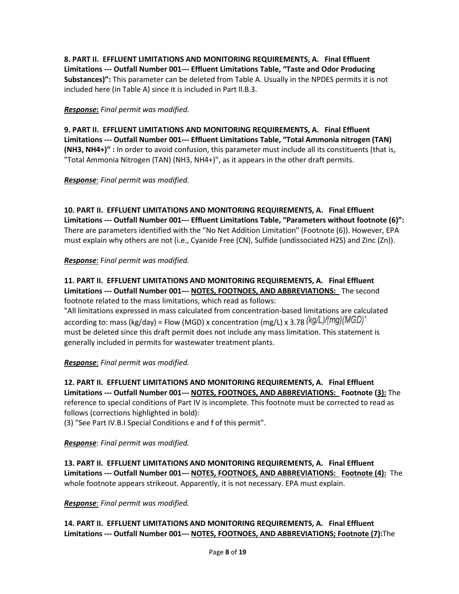**8. PART II. EFFLUENT LIMITATIONS AND MONITORING REQUIREMENTS, A. Final Effluent Limitations --- Outfall Number 001--- Effluent Limitations Table, "Taste and Odor Producing Substances)":** This parameter can be deleted from Table A. Usually in the NPDES permits it is not included here (in Table A) since it is included in Part ll.B.3.

*Response***:** *Final permit was modified.*

**9. PART II. EFFLUENT LIMITATIONS AND MONITORING REQUIREMENTS, A. Final Effluent Limitations --- Outfall Number 001--- Effluent Limitations Table, "Total Ammonia nitrogen (TAN) (NH3, NH4+)" :** In order to avoid confusion, this parameter must include all its constituents (that is, "Total Ammonia Nitrogen (TAN) (NH3, NH4+)", as it appears in the other draft permits.

*Response*: *Final permit was modified.*

**10. PART II. EFFLUENT LIMITATIONS AND MONITORING REQUIREMENTS, A. Final Effluent Limitations --- Outfall Number 001--- Effluent Limitations Table, "Parameters without footnote (6)":**  There are parameters identified with the "No Net Addition Limitation" (Footnote (6)). However, EPA must explain why others are not (i.e., Cyanide Free (CN), Sulfide (undissociated H2S) and Zinc (Zn)).

*Response*: F*inal permit was modified.*

**11. PART II. EFFLUENT LIMITATIONS AND MONITORING REQUIREMENTS, A. Final Effluent Limitations --- Outfall Number 001--- NOTES, FOOTNOES, AND ABBREVIATIONS:** The second footnote related to the mass limitations, which read as follows:

"All limitations expressed in mass calculated from concentration-based limitations are calculated according to: mass (kg/day) = Flow (MGD) x concentration (mg/L) x 3.78  $(kg/L)/(mg)(MGD)^n$ must be deleted since this draft permit does not include any mass limitation. This statement is generally included in permits for wastewater treatment plants.

*Response*: *Final permit was modified.*

**12. PART II. EFFLUENT LIMITATIONS AND MONITORING REQUIREMENTS, A. Final Effluent Limitations --- Outfall Number 001--- NOTES, FOOTNOES, AND ABBREVIATIONS: Footnote (3):** The reference to special conditions of Part IV is incomplete. This footnote must be corrected to read as follows (corrections highlighted in bold):

(3) "See Part IV.B.I Special Conditions e and f of this permit".

*Response*: *Final permit was modified.*

**13. PART II. EFFLUENT LIMITATIONS AND MONITORING REQUIREMENTS, A. Final Effluent Limitations --- Outfall Number 001--- NOTES, FOOTNOES, AND ABBREVIATIONS: Footnote (4):** The whole footnote appears strikeout. Apparently, it is not necessary. EPA must explain.

*Response*: *Final permit was modified.*

**14. PART II. EFFLUENT LIMITATIONS AND MONITORING REQUIREMENTS, A. Final Effluent Limitations --- Outfall Number 001--- NOTES, FOOTNOES, AND ABBREVIATIONS; Footnote (7):**The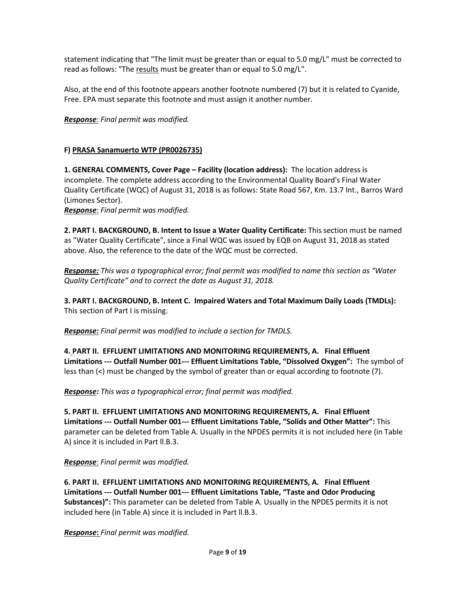statement indicating that "The limit must be greater than or equal to 5.0 mg/L" must be corrected to read as follows: "The results must be greater than or equal to 5.0 mg/L".

Also, at the end of this footnote appears another footnote numbered (7) but it is related to Cyanide, Free. EPA must separate this footnote and must assign it another number.

*Response*: *Final permit was modified.*

## **F) PRASA Sanamuerto WTP (PR0026735)**

**1. GENERAL COMMENTS, Cover Page – Facility (location address):** The location address is incomplete. The complete address according to the Environmental Quality Board's Final Water Quality Certificate (WQC) of August 31, 2018 is as follows: State Road 567, Km. 13.7 Int., Barros Ward (Limones Sector).

*Response*: *Final permit was modified.*

**2. PART I. BACKGROUND, B. Intent to Issue a Water Quality Certificate:** This section must be named as "Water Quality Certificate", since a Final WQC was issued by EQB on August 31, 2018 as stated above. Also, the reference to the date of the WQC must be corrected.

*Response: This was a typographical error; final permit was modified to name this section as "Water Quality Certificate" and to correct the date as August 31, 2018.* 

**3. PART I. BACKGROUND, B. Intent C. Impaired Waters and Total Maximum Daily Loads (TMDLs):**  This section of Part I is missing.

*Response: Final permit was modified to include a section for TMDLS.* 

**4. PART II. EFFLUENT LIMITATIONS AND MONITORING REQUIREMENTS, A. Final Effluent Limitations --- Outfall Number 001--- Effluent Limitations Table, "Dissolved Oxygen":** The symbol of less than (<) must be changed by the symbol of greater than or equal according to footnote (7).

*Response: This was a typographical error; final permit was modified.*

**5. PART II. EFFLUENT LIMITATIONS AND MONITORING REQUIREMENTS, A. Final Effluent Limitations --- Outfall Number 001--- Effluent Limitations Table, "Solids and Other Matter":** This parameter can be deleted from Table A. Usually in the NPDES permits it is not included here (in Table A) since it is included in Part ll.B.3.

*Response*: *Final permit was modified.*

**6. PART II. EFFLUENT LIMITATIONS AND MONITORING REQUIREMENTS, A. Final Effluent Limitations --- Outfall Number 001--- Effluent Limitations Table, "Taste and Odor Producing Substances)":** This parameter can be deleted from Table A. Usually in the NPDES permits it is not included here (in Table A) since it is included in Part ll.B.3.

*Response***:** *Final permit was modified.*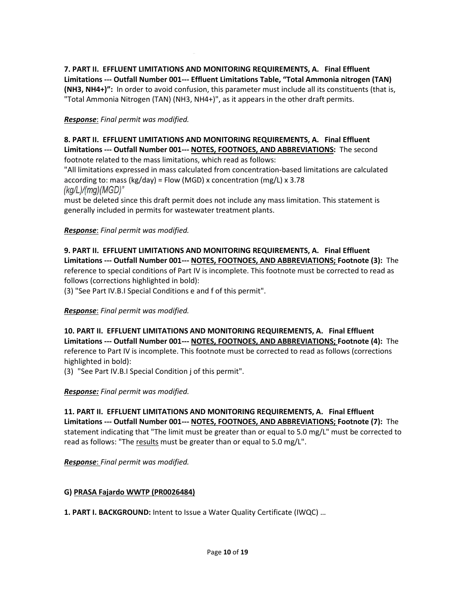**7. PART II. EFFLUENT LIMITATIONS AND MONITORING REQUIREMENTS, A. Final Effluent Limitations --- Outfall Number 001--- Effluent Limitations Table, "Total Ammonia nitrogen (TAN) (NH3, NH4+)":** In order to avoid confusion, this parameter must include all its constituents (that is, "Total Ammonia Nitrogen (TAN) (NH3, NH4+)", as it appears in the other draft permits.

## *Response*: *Final permit was modified.*

**8. PART II. EFFLUENT LIMITATIONS AND MONITORING REQUIREMENTS, A. Final Effluent Limitations --- Outfall Number 001--- NOTES, FOOTNOES, AND ABBREVIATIONS:** The second footnote related to the mass limitations, which read as follows:

"All limitations expressed in mass calculated from concentration-based limitations are calculated according to: mass (kg/day) = Flow (MGD) x concentration (mg/L) x 3.78 (kg/L)/(mg)(MGD)"

must be deleted since this draft permit does not include any mass limitation. This statement is generally included in permits for wastewater treatment plants.

### *Response*: *Final permit was modified.*

**9. PART II. EFFLUENT LIMITATIONS AND MONITORING REQUIREMENTS, A. Final Effluent Limitations --- Outfall Number 001--- NOTES, FOOTNOES, AND ABBREVIATIONS; Footnote (3):** The reference to special conditions of Part IV is incomplete. This footnote must be corrected to read as follows (corrections highlighted in bold):

(3) "See Part IV.B.I Special Conditions e and f of this permit".

#### *Response*: *Final permit was modified.*

**10. PART II. EFFLUENT LIMITATIONS AND MONITORING REQUIREMENTS, A. Final Effluent Limitations --- Outfall Number 001--- NOTES, FOOTNOES, AND ABBREVIATIONS; Footnote (4):** The reference to Part IV is incomplete. This footnote must be corrected to read as follows (corrections highlighted in bold):

(3) "See Part IV.B.I Special Condition j of this permit".

#### *Response: Final permit was modified.*

**11. PART II. EFFLUENT LIMITATIONS AND MONITORING REQUIREMENTS, A. Final Effluent Limitations --- Outfall Number 001--- NOTES, FOOTNOES, AND ABBREVIATIONS; Footnote (7):** The statement indicating that "The limit must be greater than or equal to 5.0 mg/L" must be corrected to read as follows: "The results must be greater than or equal to 5.0 mg/L".

*Response*: *Final permit was modified.*

#### **G) PRASA Fajardo WWTP (PR0026484)**

**1. PART I. BACKGROUND:** Intent to Issue a Water Quality Certificate (IWQC) …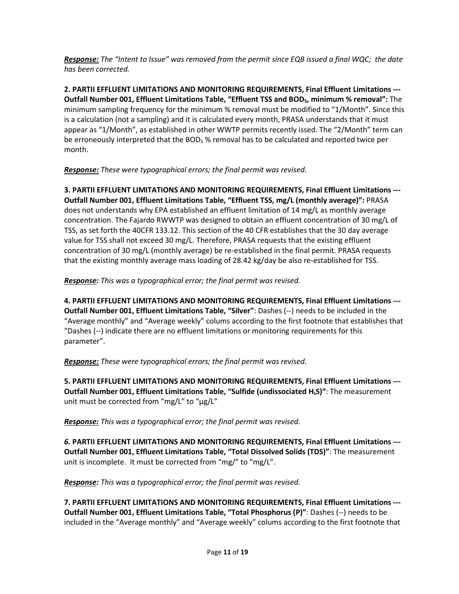*Response: The "Intent to Issue" was removed from the permit since EQB issued a final WQC; the date has been corrected.*

**2. PARTII EFFLUENT LIMITATIONS AND MONITORING REQUIREMENTS, Final Effluent Limitations --- Outfall Number 001, Effluent Limitations Table, "Effluent TSS and BOD5, minimum % removal":** The minimum sampling frequency for the minimum % removal must be modified to "1/Month". Since this is a calculation (not a sampling) and it is calculated every month, PRASA understands that it must appear as "1/Month", as established in other WWTP permits recently issed. The "2/Month" term can be erroneously interpreted that the BOD<sub>5</sub> % removal has to be calculated and reported twice per month.

## *Response: These were typographical errors; the final permit was revised.*

**3. PARTII EFFLUENT LIMITATIONS AND MONITORING REQUIREMENTS, Final Effluent Limitations --- Outfall Number 001, Effluent Limitations Table, "Effluent TSS, mg/L (monthly average)":** PRASA does not understands why EPA established an effluent limitation of 14 mg/L as monthly average concentration. The Fajardo RWWTP was designed to obtain an effluent concentration of 30 mg/L of TSS, as set forth the 40CFR 133.12. This section of the 40 CFR establishes that the 30 day average value for TSS shall not exceed 30 mg/L. Therefore, PRASA requests that the existing effluent concentration of 30 mg/L (monthly average) be re-established in the final permit. PRASA requests that the existing monthly average mass loading of 28.42 kg/day be also re-established for TSS.

*Response: This was a typographical error; the final permit was revised.*

**4. PARTII EFFLUENT LIMITATIONS AND MONITORING REQUIREMENTS, Final Effluent Limitations --- Outfall Number 001, Effluent Limitations Table, "Silver"**: Dashes (--) needs to be included in the "Average monthly" and "Average weekly" colums according to the first footnote that establishes that "Dashes (--) indicate there are no effluent limitations or monitoring requirements for this parameter".

*Response: These were typographical errors; the final permit was revised.*

**5. PARTII EFFLUENT LIMITATIONS AND MONITORING REQUIREMENTS, Final Effluent Limitations --- Outfall Number 001, Effluent Limitations Table, "Sulfide (undissociated HsS)"**: The measurement unit must be corrected from "mg/L" to "μg/L"

*Response: This was a typographical error; the final permit was revised.*

*6.* **PARTII EFFLUENT LIMITATIONS AND MONITORING REQUIREMENTS, Final Effluent Limitations --- Outfall Number 001, Effluent Limitations Table, "Total Dissolved Solids (TDS)"**: The measurement unit is incomplete. It must be corrected from "mg/" to "mg/L".

*Response: This was a typographical error; the final permit was revised.*

**7. PARTII EFFLUENT LIMITATIONS AND MONITORING REQUIREMENTS, Final Effluent Limitations --- Outfall Number 001, Effluent Limitations Table, "Total Phosphorus (P)"**: Dashes (--) needs to be included in the "Average monthly" and "Average weekly" colums according to the first footnote that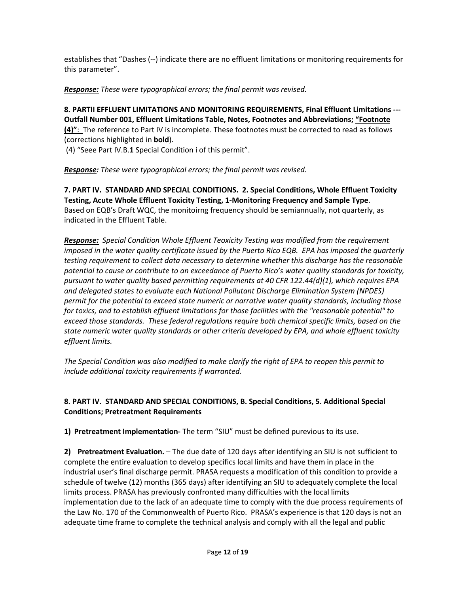establishes that "Dashes (--) indicate there are no effluent limitations or monitoring requirements for this parameter".

*Response: These were typographical errors; the final permit was revised.*

**8. PARTII EFFLUENT LIMITATIONS AND MONITORING REQUIREMENTS, Final Effluent Limitations --- Outfall Number 001, Effluent Limitations Table, Notes, Footnotes and Abbreviations; "Footnote (4)"**: The reference to Part IV is incomplete. These footnotes must be corrected to read as follows (corrections highlighted in **bold**).

(4) "Seee Part IV.B.**1** Special Condition i of this permit".

*Response: These were typographical errors; the final permit was revised.*

**7. PART IV. STANDARD AND SPECIAL CONDITIONS. 2. Special Conditions, Whole Effluent Toxicity Testing, Acute Whole Effluent Toxicity Testing, 1-Monitoring Frequency and Sample Type**. Based on EQB's Draft WQC, the monitoirng frequency should be semiannually, not quarterly, as indicated in the Effluent Table.

*Response: Special Condition Whole Effluent Teoxicity Testing was modified from the requirement imposed in the water quality certificate issued by the Puerto Rico EQB. EPA has imposed the quarterly testing requirement to collect data necessary to determine whether this discharge has the reasonable potential to cause or contribute to an exceedance of Puerto Rico's water quality standards for toxicity, pursuant to water quality based permitting requirements at 40 CFR 122.44(d)(1), which requires EPA and delegated states to evaluate each National Pollutant Discharge Elimination System (NPDES) permit for the potential to exceed state numeric or narrative water quality standards, including those for toxics, and to establish effluent limitations for those facilities with the "reasonable potential" to exceed those standards. These federal regulations require both chemical specific limits, based on the state numeric water quality standards or other criteria developed by EPA, and whole effluent toxicity effluent limits.*

*The Special Condition was also modified to make clarify the right of EPA to reopen this permit to include additional toxicity requirements if warranted.*

## **8. PART IV. STANDARD AND SPECIAL CONDITIONS, B. Special Conditions, 5. Additional Special Conditions; Pretreatment Requirements**

**1) Pretreatment Implementation-** The term "SIU" must be defined purevious to its use.

**2) Pretreatment Evaluation.** – The due date of 120 days after identifying an SIU is not sufficient to complete the entire evaluation to develop specifics local limits and have them in place in the industrial user's final discharge permit. PRASA requests a modification of this condition to provide a schedule of twelve (12) months (365 days) after identifying an SIU to adequately complete the local limits process. PRASA has previously confronted many difficulties with the local limits implementation due to the lack of an adequate time to comply with the due process requirements of the Law No. 170 of the Commonwealth of Puerto Rico. PRASA's experience is that 120 days is not an adequate time frame to complete the technical analysis and comply with all the legal and public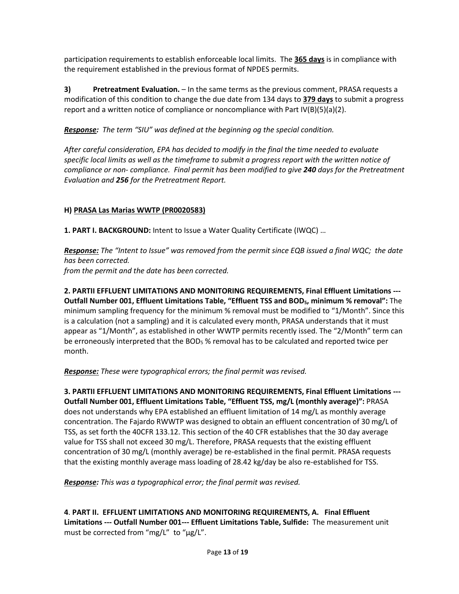participation requirements to establish enforceable local limits. The **365 days** is in compliance with the requirement established in the previous format of NPDES permits.

**3) Pretreatment Evaluation.** – In the same terms as the previous comment, PRASA requests a modification of this condition to change the due date from 134 days to **379 days** to submit a progress report and a written notice of compliance or noncompliance with Part  $IV(B)(5)(a)(2)$ .

*Response: The term "SIU" was defined at the beginning og the special condition.*

*After careful consideration, EPA has decided to modify in the final the time needed to evaluate specific local limits as well as the timeframe to submit a progress report with the written notice of compliance or non- compliance. Final permit has been modified to give 240 days for the Pretreatment Evaluation and 256 for the Pretreatment Report.*

## **H) PRASA Las Marias WWTP (PR0020583)**

**1. PART I. BACKGROUND:** Intent to Issue a Water Quality Certificate (IWQC) …

*Response: The "Intent to Issue" was removed from the permit since EQB issued a final WQC; the date has been corrected. from the permit and the date has been corrected.*

**2. PARTII EFFLUENT LIMITATIONS AND MONITORING REQUIREMENTS, Final Effluent Limitations --- Outfall Number 001, Effluent Limitations Table, "Effluent TSS and BOD5, minimum % removal":** The minimum sampling frequency for the minimum % removal must be modified to "1/Month". Since this is a calculation (not a sampling) and it is calculated every month, PRASA understands that it must appear as "1/Month", as established in other WWTP permits recently issed. The "2/Month" term can be erroneously interpreted that the  $BOD<sub>5</sub>$ % removal has to be calculated and reported twice per month.

*Response: These were typographical errors; the final permit was revised.*

**3. PARTII EFFLUENT LIMITATIONS AND MONITORING REQUIREMENTS, Final Effluent Limitations --- Outfall Number 001, Effluent Limitations Table, "Effluent TSS, mg/L (monthly average)":** PRASA does not understands why EPA established an effluent limitation of 14 mg/L as monthly average concentration. The Fajardo RWWTP was designed to obtain an effluent concentration of 30 mg/L of TSS, as set forth the 40CFR 133.12. This section of the 40 CFR establishes that the 30 day average value for TSS shall not exceed 30 mg/L. Therefore, PRASA requests that the existing effluent concentration of 30 mg/L (monthly average) be re-established in the final permit. PRASA requests that the existing monthly average mass loading of 28.42 kg/day be also re-established for TSS.

*Response: This was a typographical error; the final permit was revised.*

**4**. **PART II. EFFLUENT LIMITATIONS AND MONITORING REQUIREMENTS, A. Final Effluent Limitations --- Outfall Number 001--- Effluent Limitations Table, Sulfide:** The measurement unit must be corrected from "mg/L" to "μg/L".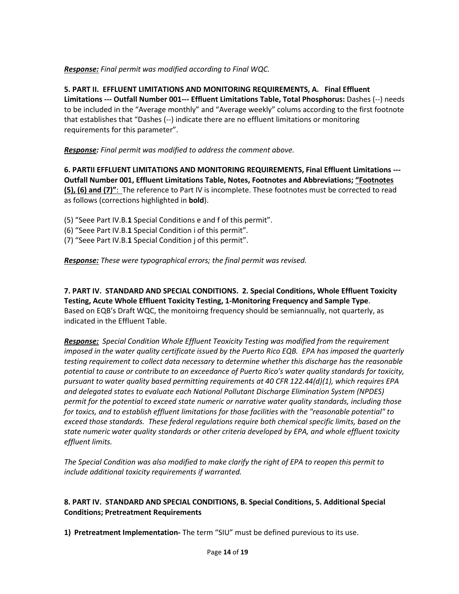## *Response: Final permit was modified according to Final WQC.*

**5. PART II. EFFLUENT LIMITATIONS AND MONITORING REQUIREMENTS, A. Final Effluent Limitations --- Outfall Number 001--- Effluent Limitations Table, Total Phosphorus:** Dashes (--) needs to be included in the "Average monthly" and "Average weekly" colums according to the first footnote that establishes that "Dashes (--) indicate there are no effluent limitations or monitoring requirements for this parameter".

### *Response: Final permit was modified to address the comment above.*

**6. PARTII EFFLUENT LIMITATIONS AND MONITORING REQUIREMENTS, Final Effluent Limitations --- Outfall Number 001, Effluent Limitations Table, Notes, Footnotes and Abbreviations; "Footnotes (5), (6) and (7)"**: The reference to Part IV is incomplete. These footnotes must be corrected to read as follows (corrections highlighted in **bold**).

- (5) "Seee Part IV.B.**1** Special Conditions e and f of this permit".
- (6) "Seee Part IV.B.**1** Special Condition i of this permit".
- (7) "Seee Part IV.B.**1** Special Condition j of this permit".

*Response: These were typographical errors; the final permit was revised.*

**7. PART IV. STANDARD AND SPECIAL CONDITIONS. 2. Special Conditions, Whole Effluent Toxicity Testing, Acute Whole Effluent Toxicity Testing, 1-Monitoring Frequency and Sample Type**. Based on EQB's Draft WQC, the monitoirng frequency should be semiannually, not quarterly, as indicated in the Effluent Table.

*Response: Special Condition Whole Effluent Teoxicity Testing was modified from the requirement imposed in the water quality certificate issued by the Puerto Rico EQB. EPA has imposed the quarterly testing requirement to collect data necessary to determine whether this discharge has the reasonable potential to cause or contribute to an exceedance of Puerto Rico's water quality standards for toxicity, pursuant to water quality based permitting requirements at 40 CFR 122.44(d)(1), which requires EPA and delegated states to evaluate each National Pollutant Discharge Elimination System (NPDES) permit for the potential to exceed state numeric or narrative water quality standards, including those for toxics, and to establish effluent limitations for those facilities with the "reasonable potential" to exceed those standards. These federal regulations require both chemical specific limits, based on the state numeric water quality standards or other criteria developed by EPA, and whole effluent toxicity effluent limits.*

*The Special Condition was also modified to make clarify the right of EPA to reopen this permit to include additional toxicity requirements if warranted.*

### **8. PART IV. STANDARD AND SPECIAL CONDITIONS, B. Special Conditions, 5. Additional Special Conditions; Pretreatment Requirements**

**1) Pretreatment Implementation-** The term "SIU" must be defined purevious to its use.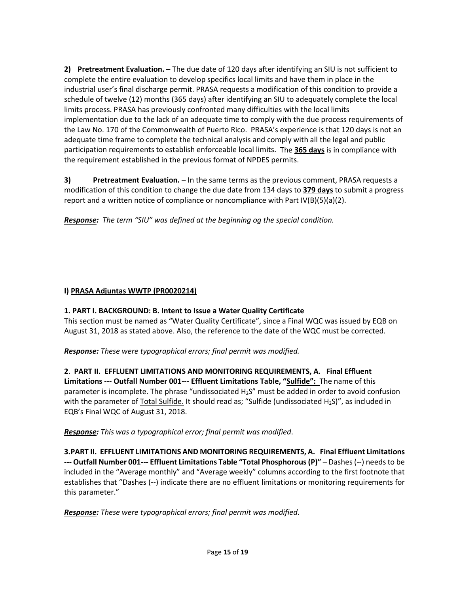**2) Pretreatment Evaluation.** – The due date of 120 days after identifying an SIU is not sufficient to complete the entire evaluation to develop specifics local limits and have them in place in the industrial user's final discharge permit. PRASA requests a modification of this condition to provide a schedule of twelve (12) months (365 days) after identifying an SIU to adequately complete the local limits process. PRASA has previously confronted many difficulties with the local limits implementation due to the lack of an adequate time to comply with the due process requirements of the Law No. 170 of the Commonwealth of Puerto Rico. PRASA's experience is that 120 days is not an adequate time frame to complete the technical analysis and comply with all the legal and public participation requirements to establish enforceable local limits. The **365 days** is in compliance with the requirement established in the previous format of NPDES permits.

**3) Pretreatment Evaluation.** – In the same terms as the previous comment, PRASA requests a modification of this condition to change the due date from 134 days to **379 days** to submit a progress report and a written notice of compliance or noncompliance with Part  $V(B)(5)(a)(2)$ .

*Response: The term "SIU" was defined at the beginning og the special condition.*

## **I) PRASA Adjuntas WWTP (PR0020214)**

# **1. PART I. BACKGROUND: B. Intent to Issue a Water Quality Certificate**

This section must be named as "Water Quality Certificate", since a Final WQC was issued by EQB on August 31, 2018 as stated above. Also, the reference to the date of the WQC must be corrected.

*Response: These were typographical errors; final permit was modified.*

**2**. **PART II. EFFLUENT LIMITATIONS AND MONITORING REQUIREMENTS, A. Final Effluent Limitations --- Outfall Number 001--- Effluent Limitations Table, "Sulfide":** The name of this parameter is incomplete. The phrase "undissociated  $H_2S''$  must be added in order to avoid confusion with the parameter of Total Sulfide. It should read as; "Sulfide (undissociated H<sub>2</sub>S)", as included in EQB's Final WQC of August 31, 2018.

*Response: This was a typographical error; final permit was modified*.

**3.PART II. EFFLUENT LIMITATIONS AND MONITORING REQUIREMENTS, A. Final Effluent Limitations --- Outfall Number 001--- Effluent Limitations Table "Total Phosphorous (P)"** – Dashes (--) needs to be included in the "Average monthly" and "Average weekly" columns according to the first footnote that establishes that "Dashes (--) indicate there are no effluent limitations or monitoring requirements for this parameter."

*Response: These were typographical errors; final permit was modified*.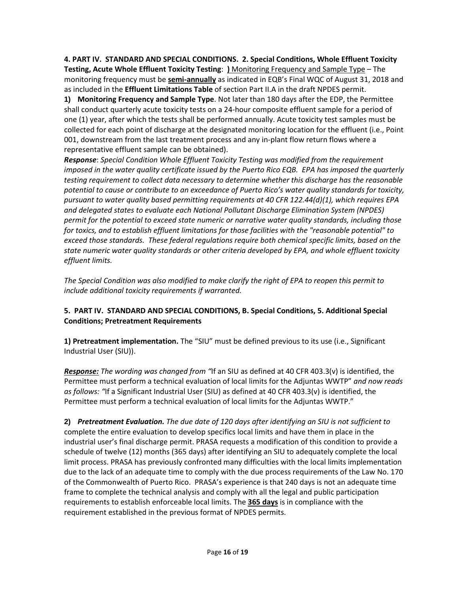**4. PART IV. STANDARD AND SPECIAL CONDITIONS. 2. Special Conditions, Whole Effluent Toxicity Testing, Acute Whole Effluent Toxicity Testing**: **)** Monitoring Frequency and Sample Type – The monitoring frequency must be **semi-annually** as indicated in EQB's Final WQC of August 31, 2018 and as included in the **Effluent Limitations Table** of section Part II.A in the draft NPDES permit.

**1) Monitoring Frequency and Sample Type**. Not later than 180 days after the EDP, the Permittee shall conduct quarterly acute toxicity tests on a 24-hour composite effluent sample for a period of one (1) year, after which the tests shall be performed annually. Acute toxicity test samples must be collected for each point of discharge at the designated monitoring location for the effluent (i.e., Point 001, downstream from the last treatment process and any in-plant flow return flows where a representative effluent sample can be obtained).

*Response*: *Special Condition Whole Effluent Toxicity Testing was modified from the requirement imposed in the water quality certificate issued by the Puerto Rico EQB. EPA has imposed the quarterly testing requirement to collect data necessary to determine whether this discharge has the reasonable potential to cause or contribute to an exceedance of Puerto Rico's water quality standards for toxicity, pursuant to water quality based permitting requirements at 40 CFR 122.44(d)(1), which requires EPA and delegated states to evaluate each National Pollutant Discharge Elimination System (NPDES) permit for the potential to exceed state numeric or narrative water quality standards, including those for toxics, and to establish effluent limitations for those facilities with the "reasonable potential" to exceed those standards. These federal regulations require both chemical specific limits, based on the state numeric water quality standards or other criteria developed by EPA, and whole effluent toxicity effluent limits.*

*The Special Condition was also modified to make clarify the right of EPA to reopen this permit to include additional toxicity requirements if warranted.*

## **5. PART IV. STANDARD AND SPECIAL CONDITIONS, B. Special Conditions, 5. Additional Special Conditions; Pretreatment Requirements**

**1) Pretreatment implementation.** The "SIU" must be defined previous to its use (i.e., Significant Industrial User (SIU)).

*Response: The wording was changed from "*If an SIU as defined at 40 CFR 403.3(v) is identified, the Permittee must perform a technical evaluation of local limits for the Adjuntas WWTP" *and now reads as follows: "*If a Significant Industrial User (SIU) as defined at 40 CFR 403.3(v) is identified, the Permittee must perform a technical evaluation of local limits for the Adjuntas WWTP."

**2)** *Pretreatment Evaluation. The due date of 120 days after identifying an SIU is not sufficient to*  complete the entire evaluation to develop specifics local limits and have them in place in the industrial user's final discharge permit. PRASA requests a modification of this condition to provide a schedule of twelve (12) months (365 days) after identifying an SIU to adequately complete the local limit process. PRASA has previously confronted many difficulties with the local limits implementation due to the lack of an adequate time to comply with the due process requirements of the Law No. 170 of the Commonwealth of Puerto Rico. PRASA's experience is that 240 days is not an adequate time frame to complete the technical analysis and comply with all the legal and public participation requirements to establish enforceable local limits. The **365 days** is in compliance with the requirement established in the previous format of NPDES permits.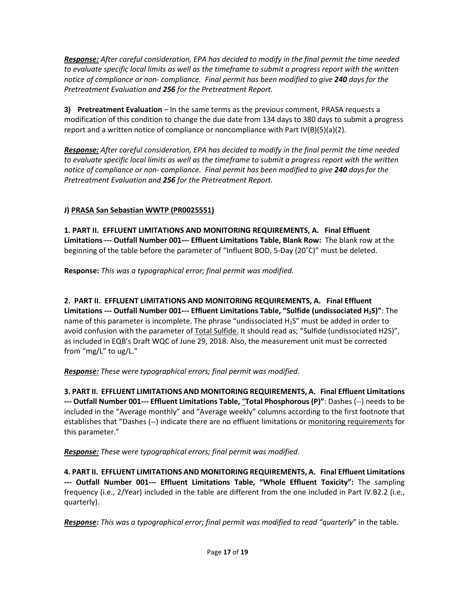*Response: After careful consideration, EPA has decided to modify in the final permit the time needed to evaluate specific local limits as well as the timeframe to submit a progress report with the written notice of compliance or non- compliance. Final permit has been modified to give 240 days for the Pretreatment Evaluation and 256 for the Pretreatment Report.*

**3) Pretreatment Evaluation** – In the same terms as the previous comment, PRASA requests a modification of this condition to change the due date from 134 days to 380 days to submit a progress report and a written notice of compliance or noncompliance with Part  $IV(B)(5)(a)(2)$ .

*Response: After careful consideration, EPA has decided to modify in the final permit the time needed to evaluate specific local limits as well as the timeframe to submit a progress report with the written notice of compliance or non- compliance. Final permit has been modified to give 240 days for the Pretreatment Evaluation and 256 for the Pretreatment Report.*

# **J) PRASA San Sebastian WWTP (PR0025551)**

**1. PART II. EFFLUENT LIMITATIONS AND MONITORING REQUIREMENTS, A. Final Effluent Limitations --- Outfall Number 001--- Effluent Limitations Table, Blank Row:** The blank row at the beginning of the table before the parameter of "Influent BOD, 5-Day (20˚C)" must be deleted.

**Response:** *This was a typographical error; final permit was modified*.

**2. PART II. EFFLUENT LIMITATIONS AND MONITORING REQUIREMENTS, A. Final Effluent Limitations --- Outfall Number 001--- Effluent Limitations Table, "Sulfide (undissociated H2S)"**: The name of this parameter is incomplete. The phrase "undissociated H2S" must be added in order to avoid confusion with the parameter of Total Sulfide. It should read as; "Sulfide (undissociated H2S)", as included in EQB's Draft WQC of June 29, 2018. Also, the measurement unit must be corrected from "mg/L" to ug/L."

*Response: These were typographical errors; final permit was modified*.

**3. PART II. EFFLUENT LIMITATIONS AND MONITORING REQUIREMENTS, A. Final Effluent Limitations --- Outfall Number 001--- Effluent Limitations Table,** "**Total Phosphorous (P)"**: Dashes (--) needs to be included in the "Average monthly" and "Average weekly" columns according to the first footnote that establishes that "Dashes (--) indicate there are no effluent limitations or monitoring requirements for this parameter."

*Response: These were typographical errors; final permit was modified*.

**4. PART II. EFFLUENT LIMITATIONS AND MONITORING REQUIREMENTS, A. Final Effluent Limitations --- Outfall Number 001--- Effluent Limitations Table, "Whole Effluent Toxicity":** The sampling frequency (i.e., 2/Year) included in the table are different from the one included in Part IV.B2.2 (i.e., quarterly).

*Response: This was a typographical error; final permit was modified to read "quarterly*" in the table.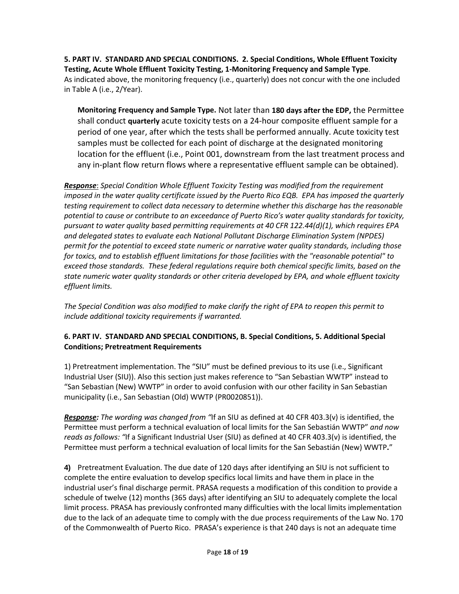**5. PART IV. STANDARD AND SPECIAL CONDITIONS. 2. Special Conditions, Whole Effluent Toxicity Testing, Acute Whole Effluent Toxicity Testing, 1-Monitoring Frequency and Sample Type**. As indicated above, the monitoring frequency (i.e., quarterly) does not concur with the one included in Table A (i.e., 2/Year).

**Monitoring Frequency and Sample Type.** Not later than **180 days after the EDP,** the Permittee shall conduct **quarterly** acute toxicity tests on a 24-hour composite effluent sample for a period of one year, after which the tests shall be performed annually. Acute toxicity test samples must be collected for each point of discharge at the designated monitoring location for the effluent (i.e., Point 001, downstream from the last treatment process and any in-plant flow return flows where a representative effluent sample can be obtained).

*Response*: *Special Condition Whole Effluent Toxicity Testing was modified from the requirement imposed in the water quality certificate issued by the Puerto Rico EQB. EPA has imposed the quarterly testing requirement to collect data necessary to determine whether this discharge has the reasonable potential to cause or contribute to an exceedance of Puerto Rico's water quality standards for toxicity, pursuant to water quality based permitting requirements at 40 CFR 122.44(d)(1), which requires EPA and delegated states to evaluate each National Pollutant Discharge Elimination System (NPDES) permit for the potential to exceed state numeric or narrative water quality standards, including those for toxics, and to establish effluent limitations for those facilities with the "reasonable potential" to exceed those standards. These federal regulations require both chemical specific limits, based on the state numeric water quality standards or other criteria developed by EPA, and whole effluent toxicity effluent limits.*

*The Special Condition was also modified to make clarify the right of EPA to reopen this permit to include additional toxicity requirements if warranted.*

## **6. PART IV. STANDARD AND SPECIAL CONDITIONS, B. Special Conditions, 5. Additional Special Conditions; Pretreatment Requirements**

1) Pretreatment implementation. The "SIU" must be defined previous to its use (i.e., Significant Industrial User (SIU)). Also this section just makes reference to "San Sebastian WWTP" instead to "San Sebastian (New) WWTP" in order to avoid confusion with our other facility in San Sebastian municipality (i.e., San Sebastian (Old) WWTP (PR0020851)).

*Response: The wording was changed from "*If an SIU as defined at 40 CFR 403.3(v) is identified, the Permittee must perform a technical evaluation of local limits for the San Sebastián WWTP" *and now reads as follows: "*If a Significant Industrial User (SIU) as defined at 40 CFR 403.3(v) is identified, the Permittee must perform a technical evaluation of local limits for the San Sebastián (New) WWTP**.**"

**4)** Pretreatment Evaluation. The due date of 120 days after identifying an SIU is not sufficient to complete the entire evaluation to develop specifics local limits and have them in place in the industrial user's final discharge permit. PRASA requests a modification of this condition to provide a schedule of twelve (12) months (365 days) after identifying an SIU to adequately complete the local limit process. PRASA has previously confronted many difficulties with the local limits implementation due to the lack of an adequate time to comply with the due process requirements of the Law No. 170 of the Commonwealth of Puerto Rico. PRASA's experience is that 240 days is not an adequate time